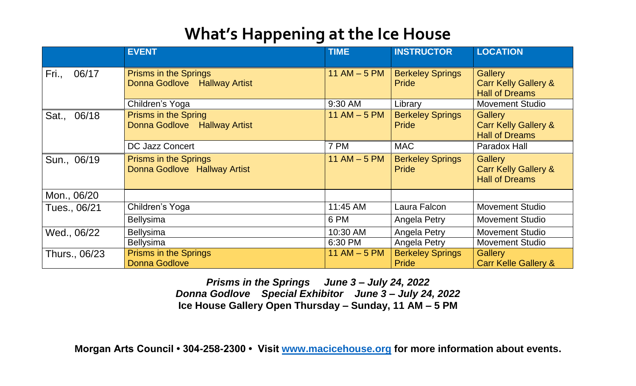## **What's Happening at the Ice House**

|                | <b>EVENT</b>                                                 | <b>TIME</b>     | <b>INSTRUCTOR</b>                       | <b>LOCATION</b>                                                            |
|----------------|--------------------------------------------------------------|-----------------|-----------------------------------------|----------------------------------------------------------------------------|
| Fri.,<br>06/17 | <b>Prisms in the Springs</b><br>Donna Godlove Hallway Artist | $11$ AM $-5$ PM | <b>Berkeley Springs</b><br><b>Pride</b> | <b>Gallery</b><br><b>Carr Kelly Gallery &amp;</b><br><b>Hall of Dreams</b> |
|                | Children's Yoga                                              | 9:30 AM         | Library                                 | <b>Movement Studio</b>                                                     |
| 06/18<br>Sat., | <b>Prisms in the Spring</b><br>Donna Godlove Hallway Artist  | 11 AM $-5$ PM   | <b>Berkeley Springs</b><br><b>Pride</b> | <b>Gallery</b><br><b>Carr Kelly Gallery &amp;</b><br><b>Hall of Dreams</b> |
|                | <b>DC Jazz Concert</b>                                       | 7 PM            | <b>MAC</b>                              | Paradox Hall                                                               |
| Sun., 06/19    | <b>Prisms in the Springs</b><br>Donna Godlove Hallway Artist | 11 AM $-5$ PM   | <b>Berkeley Springs</b><br><b>Pride</b> | <b>Gallery</b><br><b>Carr Kelly Gallery &amp;</b><br><b>Hall of Dreams</b> |
| Mon., 06/20    |                                                              |                 |                                         |                                                                            |
| Tues., 06/21   | Children's Yoga                                              | 11:45 AM        | Laura Falcon                            | <b>Movement Studio</b>                                                     |
|                | <b>Bellysima</b>                                             | 6 PM            | Angela Petry                            | <b>Movement Studio</b>                                                     |
| Wed., 06/22    | <b>Bellysima</b>                                             | 10:30 AM        | Angela Petry                            | <b>Movement Studio</b>                                                     |
|                | <b>Bellysima</b>                                             | 6:30 PM         | Angela Petry                            | <b>Movement Studio</b>                                                     |
| Thurs., 06/23  | <b>Prisms in the Springs</b><br><b>Donna Godlove</b>         | 11 AM $-5$ PM   | <b>Berkeley Springs</b><br><b>Pride</b> | <b>Gallery</b><br><b>Carr Kelle Gallery &amp;</b>                          |

*Prisms in the Springs June 3 – July 24, 2022 Donna Godlove Special Exhibitor June 3 – July 24, 2022* **Ice House Gallery Open Thursday – Sunday, 11 AM – 5 PM** 

**Morgan Arts Council • 304-258-2300 • Visit [www.macicehouse.org](http://www.macicehouse.org/) for more information about events.**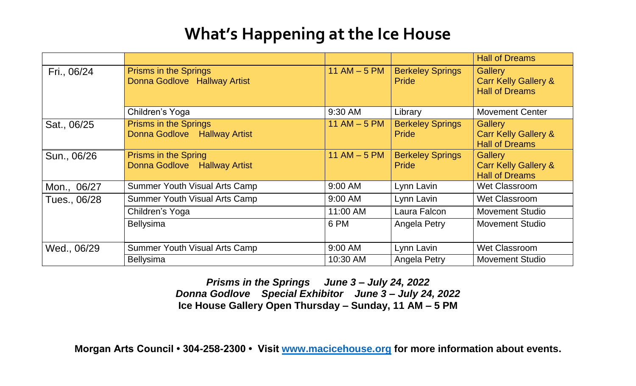## **What's Happening at the Ice House**

|              |                                                              |               |                                         | <b>Hall of Dreams</b>                                                      |
|--------------|--------------------------------------------------------------|---------------|-----------------------------------------|----------------------------------------------------------------------------|
| Fri., 06/24  | <b>Prisms in the Springs</b><br>Donna Godlove Hallway Artist | 11 AM $-5$ PM | <b>Berkeley Springs</b><br><b>Pride</b> | <b>Gallery</b><br><b>Carr Kelly Gallery &amp;</b><br><b>Hall of Dreams</b> |
|              | Children's Yoga                                              | 9:30 AM       | Library                                 | <b>Movement Center</b>                                                     |
| Sat., 06/25  | <b>Prisms in the Springs</b><br>Donna Godlove Hallway Artist | 11 AM $-5$ PM | <b>Berkeley Springs</b><br><b>Pride</b> | <b>Gallery</b><br><b>Carr Kelly Gallery &amp;</b><br><b>Hall of Dreams</b> |
| Sun., 06/26  | <b>Prisms in the Spring</b><br>Donna Godlove Hallway Artist  | 11 AM $-5$ PM | <b>Berkeley Springs</b><br><b>Pride</b> | <b>Gallery</b><br><b>Carr Kelly Gallery &amp;</b><br><b>Hall of Dreams</b> |
| Mon., 06/27  | <b>Summer Youth Visual Arts Camp</b>                         | 9:00 AM       | Lynn Lavin                              | <b>Wet Classroom</b>                                                       |
| Tues., 06/28 | <b>Summer Youth Visual Arts Camp</b>                         | 9:00 AM       | Lynn Lavin                              | <b>Wet Classroom</b>                                                       |
|              | Children's Yoga                                              | 11:00 AM      | Laura Falcon                            | <b>Movement Studio</b>                                                     |
|              | <b>Bellysima</b>                                             | 6 PM          | Angela Petry                            | <b>Movement Studio</b>                                                     |
| Wed., 06/29  | Summer Youth Visual Arts Camp                                | 9:00 AM       | Lynn Lavin                              | Wet Classroom                                                              |
|              | <b>Bellysima</b>                                             | 10:30 AM      | Angela Petry                            | <b>Movement Studio</b>                                                     |

*Prisms in the Springs June 3 – July 24, 2022 Donna Godlove Special Exhibitor June 3 – July 24, 2022* **Ice House Gallery Open Thursday – Sunday, 11 AM – 5 PM** 

**Morgan Arts Council • 304-258-2300 • Visit [www.macicehouse.org](http://www.macicehouse.org/) for more information about events.**